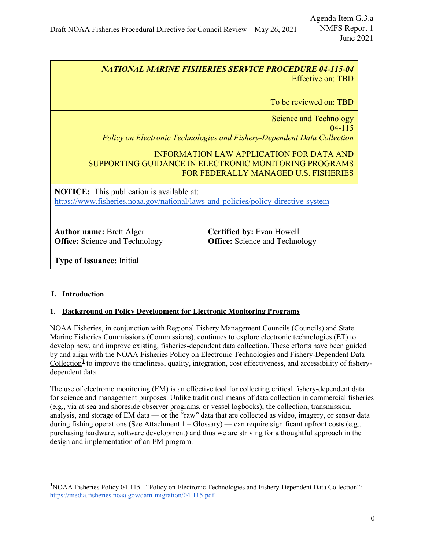# *NATIONAL MARINE FISHERIES SERVICE PROCEDURE 04-115-04* Effective on: TBD

To be reviewed on: TBD

Science and Technology

04-115 *Policy on Electronic Technologies and Fishery-Dependent Data Collection*

INFORMATION LAW APPLICATION FOR DATA AND SUPPORTING GUIDANCE IN ELECTRONIC MONITORING PROGRAMS FOR FEDERALLY MANAGED U.S. FISHERIES

**NOTICE:** This publication is available at: <https://www.fisheries.noaa.gov/national/laws-and-policies/policy-directive-system>

**Author name:** Brett Alger **Office:** Science and Technology **Certified by:** Evan Howell **Office:** Science and Technology

**Type of Issuance:** Initial

# **I. Introduction**

# **1. Background on Policy Development for Electronic Monitoring Programs**

NOAA Fisheries, in conjunction with Regional Fishery Management Councils (Councils) and State Marine Fisheries Commissions (Commissions), continues to explore electronic technologies (ET) to develop new, and improve existing, fisheries-dependent data collection. These efforts have been guided by and align with the NOAA Fisheries Policy on Electronic Technologies and Fishery-Dependent Data Collection<sup>[1](#page-0-0)</sup> to improve the timeliness, quality, integration, cost effectiveness, and accessibility of fisherydependent data.

The use of electronic monitoring (EM) is an effective tool for collecting critical fishery-dependent data for science and management purposes. Unlike traditional means of data collection in commercial fisheries (e.g., via at-sea and shoreside observer programs, or vessel logbooks), the collection, transmission, analysis, and storage of EM data — or the "raw" data that are collected as video, imagery, or sensor data during fishing operations (See Attachment  $1 - \text{Glossary}$ ) — can require significant upfront costs (e.g., purchasing hardware, software development) and thus we are striving for a thoughtful approach in the design and implementation of an EM program.

<span id="page-0-0"></span><sup>&</sup>lt;sup>1</sup>NOAA Fisheries Policy 04-115 - "Policy on Electronic Technologies and Fishery-Dependent Data Collection": <https://media.fisheries.noaa.gov/dam-migration/04-115.pdf>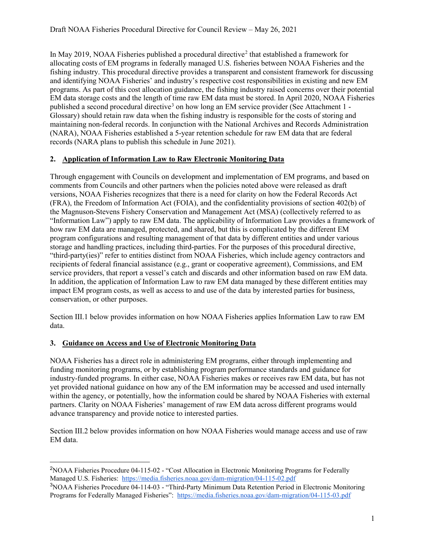In May [2](#page-1-0)019, NOAA Fisheries published a procedural directive<sup>2</sup> that established a framework for allocating costs of EM programs in federally managed U.S. fisheries between NOAA Fisheries and the fishing industry. This procedural directive provides a transparent and consistent framework for discussing and identifying NOAA Fisheries' and industry's respective cost responsibilities in existing and new EM programs. As part of this cost allocation guidance, the fishing industry raised concerns over their potential EM data storage costs and the length of time raw EM data must be stored. In April 2020, NOAA Fisheries published a second procedural directive<sup>[3](#page-1-1)</sup> on how long an EM service provider (See Attachment  $1$  -Glossary) should retain raw data when the fishing industry is responsible for the costs of storing and maintaining non-federal records. In conjunction with the National Archives and Records Administration (NARA), NOAA Fisheries established a 5-year retention schedule for raw EM data that are federal records (NARA plans to publish this schedule in June 2021).

## **2. Application of Information Law to Raw Electronic Monitoring Data**

Through engagement with Councils on development and implementation of EM programs, and based on comments from Councils and other partners when the policies noted above were released as draft versions, NOAA Fisheries recognizes that there is a need for clarity on how the Federal Records Act (FRA), the Freedom of Information Act (FOIA), and the confidentiality provisions of section 402(b) of the Magnuson-Stevens Fishery Conservation and Management Act (MSA) (collectively referred to as "Information Law") apply to raw EM data. The applicability of Information Law provides a framework of how raw EM data are managed, protected, and shared, but this is complicated by the different EM program configurations and resulting management of that data by different entities and under various storage and handling practices, including third-parties. For the purposes of this procedural directive, "third-party(ies)" refer to entities distinct from NOAA Fisheries, which include agency contractors and recipients of federal financial assistance (e.g., grant or cooperative agreement), Commissions, and EM service providers, that report a vessel's catch and discards and other information based on raw EM data. In addition, the application of Information Law to raw EM data managed by these different entities may impact EM program costs, as well as access to and use of the data by interested parties for business, conservation, or other purposes.

Section III.1 below provides information on how NOAA Fisheries applies Information Law to raw EM data.

## **3. Guidance on Access and Use of Electronic Monitoring Data**

NOAA Fisheries has a direct role in administering EM programs, either through implementing and funding monitoring programs, or by establishing program performance standards and guidance for industry-funded programs. In either case, NOAA Fisheries makes or receives raw EM data, but has not yet provided national guidance on how any of the EM information may be accessed and used internally within the agency, or potentially, how the information could be shared by NOAA Fisheries with external partners. Clarity on NOAA Fisheries' management of raw EM data across different programs would advance transparency and provide notice to interested parties.

Section III.2 below provides information on how NOAA Fisheries would manage access and use of raw EM data.

<span id="page-1-0"></span> <sup>2</sup> NOAA Fisheries Procedure 04-115-02 - "Cost Allocation in Electronic Monitoring Programs for Federally Managed U.S. Fisheries: <https://media.fisheries.noaa.gov/dam-migration/04-115-02.pdf>

<span id="page-1-1"></span><sup>&</sup>lt;sup>3</sup>NOAA Fisheries Procedure 04-114-03 - "Third-Party Minimum Data Retention Period in Electronic Monitoring Programs for Federally Managed Fisheries": <https://media.fisheries.noaa.gov/dam-migration/04-115-03.pdf>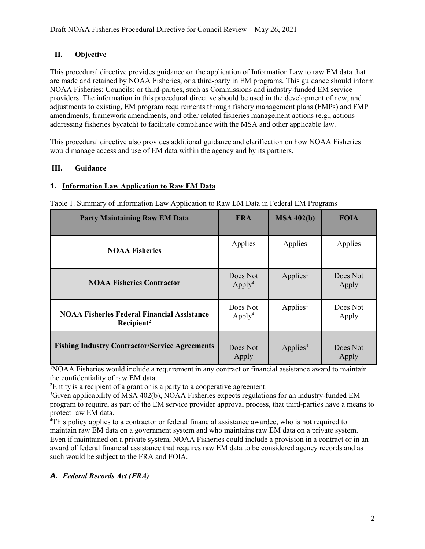# **II. Objective**

This procedural directive provides guidance on the application of Information Law to raw EM data that are made and retained by NOAA Fisheries, or a third-party in EM programs. This guidance should inform NOAA Fisheries; Councils; or third-parties, such as Commissions and industry-funded EM service providers. The information in this procedural directive should be used in the development of new, and adjustments to existing, EM program requirements through fishery management plans (FMPs) and FMP amendments, framework amendments, and other related fisheries management actions (e.g., actions addressing fisheries bycatch) to facilitate compliance with the MSA and other applicable law.

This procedural directive also provides additional guidance and clarification on how NOAA Fisheries would manage access and use of EM data within the agency and by its partners.

# **III. Guidance**

#### **1. Information Law Application to Raw EM Data**

| <b>Party Maintaining Raw EM Data</b>                                         | <b>FRA</b>                     | MSA 402(b)           | <b>FOIA</b>       |
|------------------------------------------------------------------------------|--------------------------------|----------------------|-------------------|
| <b>NOAA Fisheries</b>                                                        | Applies                        | Applies              | Applies           |
| <b>NOAA Fisheries Contractor</b>                                             | Does Not<br>Apply <sup>4</sup> | Applies <sup>1</sup> | Does Not<br>Apply |
| <b>NOAA Fisheries Federal Financial Assistance</b><br>Recipient <sup>2</sup> | Does Not<br>Apply <sup>4</sup> | Applies <sup>1</sup> | Does Not<br>Apply |
| <b>Fishing Industry Contractor/Service Agreements</b>                        | Does Not<br>Apply              | Applies <sup>3</sup> | Does Not<br>Apply |

Table 1. Summary of Information Law Application to Raw EM Data in Federal EM Programs

1 NOAA Fisheries would include a requirement in any contract or financial assistance award to maintain the confidentiality of raw EM data.

 ${}^{2}$ Entity is a recipient of a grant or is a party to a cooperative agreement.

<sup>3</sup>Given applicability of MSA 402(b), NOAA Fisheries expects regulations for an industry-funded EM program to require, as part of the EM service provider approval process, that third-parties have a means to protect raw EM data.

<sup>4</sup>This policy applies to a contractor or federal financial assistance awardee, who is not required to maintain raw EM data on a government system and who maintains raw EM data on a private system. Even if maintained on a private system, NOAA Fisheries could include a provision in a contract or in an award of federal financial assistance that requires raw EM data to be considered agency records and as such would be subject to the FRA and FOIA.

## *A. Federal Records Act (FRA)*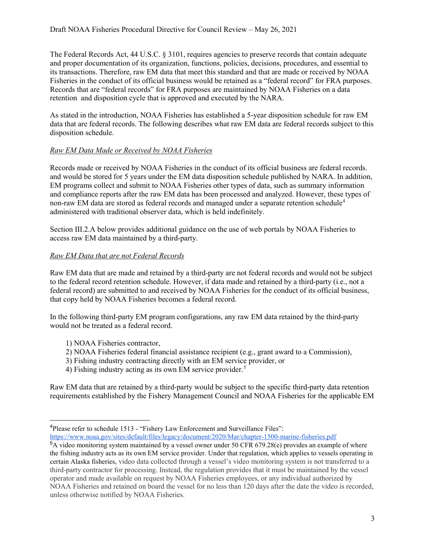The Federal Records Act, 44 U.S.C. § 3101, requires agencies to preserve records that contain adequate and proper documentation of its organization, functions, policies, decisions, procedures, and essential to its transactions. Therefore, raw EM data that meet this standard and that are made or received by NOAA Fisheries in the conduct of its official business would be retained as a "federal record" for FRA purposes. Records that are "federal records" for FRA purposes are maintained by NOAA Fisheries on a data retention and disposition cycle that is approved and executed by the NARA.

As stated in the introduction, NOAA Fisheries has established a 5-year disposition schedule for raw EM data that are federal records. The following describes what raw EM data are federal records subject to this disposition schedule.

## *Raw EM Data Made or Received by NOAA Fisheries*

Records made or received by NOAA Fisheries in the conduct of its official business are federal records. and would be stored for 5 years under the EM data disposition schedule published by NARA. In addition, EM programs collect and submit to NOAA Fisheries other types of data, such as summary information and compliance reports after the raw EM data has been processed and analyzed. However, these types of non-raw EM data are stored as federal records and managed under a separate retention schedule<sup>[4](#page-3-0)</sup> administered with traditional observer data, which is held indefinitely.

Section III.2.A below provides additional guidance on the use of web portals by NOAA Fisheries to access raw EM data maintained by a third-party.

#### *Raw EM Data that are not Federal Records*

Raw EM data that are made and retained by a third-party are not federal records and would not be subject to the federal record retention schedule. However, if data made and retained by a third-party (i.e., not a federal record) are submitted to and received by NOAA Fisheries for the conduct of its official business, that copy held by NOAA Fisheries becomes a federal record.

In the following third-party EM program configurations, any raw EM data retained by the third-party would not be treated as a federal record.

- 1) NOAA Fisheries contractor,
- 2) NOAA Fisheries federal financial assistance recipient (e.g., grant award to a Commission),
- 3) Fishing industry contracting directly with an EM service provider, or
- 4) Fishing industry acting as its own EM service provider.<sup>[5](#page-3-1)</sup>

Raw EM data that are retained by a third-party would be subject to the specific third-party data retention requirements established by the Fishery Management Council and NOAA Fisheries for the applicable EM

 <sup>4</sup> Please refer to schedule 1513 - "Fishery Law Enforcement and Surveillance Files":

<span id="page-3-0"></span><https://www.noaa.gov/sites/default/files/legacy/document/2020/Mar/chapter-1500-marine-fisheries.pdf>

<span id="page-3-1"></span><sup>&</sup>lt;sup>5</sup>A video monitoring system maintained by a vessel owner under 50 CFR 679.28(e) provides an example of where the fishing industry acts as its own EM service provider. Under that regulation, which applies to vessels operating in certain Alaska fisheries, video data collected through a vessel's video monitoring system is not transferred to a third-party contractor for processing. Instead, the regulation provides that it must be maintained by the vessel operator and made available on request by NOAA Fisheries employees, or any individual authorized by NOAA Fisheries and retained on board the vessel for no less than 120 days after the date the video is recorded, unless otherwise notified by NOAA Fisheries.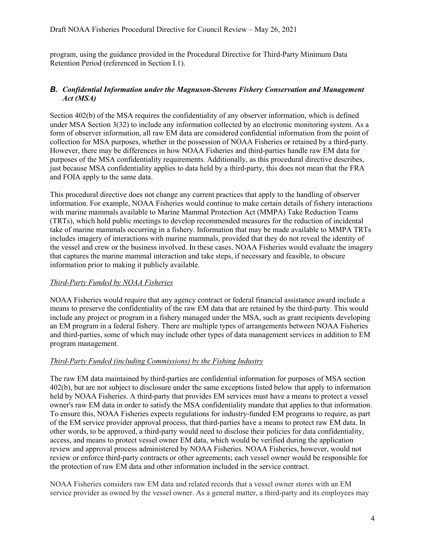program, using the guidance provided in the Procedural Directive for Third-Party Minimum Data Retention Period (referenced in Section I.1).

#### *B. Confidential Information under the Magnuson-Stevens Fishery Conservation and Management Act (MSA)*

Section 402(b) of the MSA requires the confidentiality of any observer information, which is defined under MSA Section 3(32) to include any information collected by an electronic monitoring system. As a form of observer information, all raw EM data are considered confidential information from the point of collection for MSA purposes, whether in the possession of NOAA Fisheries or retained by a third-party. However, there may be differences in how NOAA Fisheries and third-parties handle raw EM data for purposes of the MSA confidentiality requirements. Additionally, as this procedural directive describes, just because MSA confidentiality applies to data held by a third-party, this does not mean that the FRA and FOIA apply to the same data.

This procedural directive does not change any current practices that apply to the handling of observer information. For example, NOAA Fisheries would continue to make certain details of fishery interactions with marine mammals available to Marine Mammal Protection Act (MMPA) Take Reduction Teams (TRTs), which hold public meetings to develop recommended measures for the reduction of incidental take of marine mammals occurring in a fishery. Information that may be made available to MMPA TRTs includes imagery of interactions with marine mammals, provided that they do not reveal the identity of the vessel and crew or the business involved. In these cases, NOAA Fisheries would evaluate the imagery that captures the marine mammal interaction and take steps, if necessary and feasible, to obscure information prior to making it publicly available.

## *Third-Party Funded by NOAA Fisheries*

NOAA Fisheries would require that any agency contract or federal financial assistance award include a means to preserve the confidentiality of the raw EM data that are retained by the third-party. This would include any project or program in a fishery managed under the MSA, such as grant recipients developing an EM program in a federal fishery. There are multiple types of arrangements between NOAA Fisheries and third-parties, some of which may include other types of data management services in addition to EM program management.

## *Third-Party Funded (including Commissions) by the Fishing Industry*

The raw EM data maintained by third-parties are confidential information for purposes of MSA section 402(b), but are not subject to disclosure under the same exceptions listed below that apply to information held by NOAA Fisheries. A third-party that provides EM services must have a means to protect a vessel owner's raw EM data in order to satisfy the MSA confidentiality mandate that applies to that information. To ensure this, NOAA Fisheries expects regulations for industry-funded EM programs to require, as part of the EM service provider approval process, that third-parties have a means to protect raw EM data. In other words, to be approved, a third-party would need to disclose their policies for data confidentiality, access, and means to protect vessel owner EM data, which would be verified during the application review and approval process administered by NOAA Fisheries. NOAA Fisheries, however, would not review or enforce third-party contracts or other agreements; each vessel owner would be responsible for the protection of raw EM data and other information included in the service contract.

NOAA Fisheries considers raw EM data and related records that a vessel owner stores with an EM service provider as owned by the vessel owner. As a general matter, a third-party and its employees may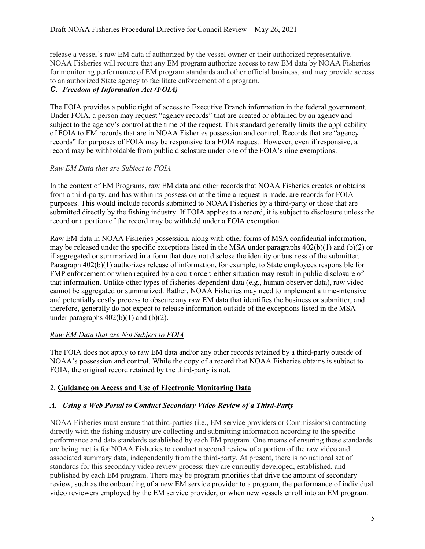release a vessel's raw EM data if authorized by the vessel owner or their authorized representative. NOAA Fisheries will require that any EM program authorize access to raw EM data by NOAA Fisheries for monitoring performance of EM program standards and other official business, and may provide access to an authorized State agency to facilitate enforcement of a program.

# *C. Freedom of Information Act (FOIA)*

The FOIA provides a public right of access to Executive Branch information in the federal government. Under FOIA, a person may request "agency records" that are created or obtained by an agency and subject to the agency's control at the time of the request. This standard generally limits the applicability of FOIA to EM records that are in NOAA Fisheries possession and control. Records that are "agency records" for purposes of FOIA may be responsive to a FOIA request. However, even if responsive, a record may be withholdable from public disclosure under one of the FOIA's nine exemptions.

## *Raw EM Data that are Subject to FOIA*

In the context of EM Programs, raw EM data and other records that NOAA Fisheries creates or obtains from a third-party, and has within its possession at the time a request is made, are records for FOIA purposes. This would include records submitted to NOAA Fisheries by a third-party or those that are submitted directly by the fishing industry. If FOIA applies to a record, it is subject to disclosure unless the record or a portion of the record may be withheld under a FOIA exemption.

Raw EM data in NOAA Fisheries possession, along with other forms of MSA confidential information, may be released under the specific exceptions listed in the MSA under paragraphs 402(b)(1) and (b)(2) or if aggregated or summarized in a form that does not disclose the identity or business of the submitter. Paragraph 402(b)(1) authorizes release of information, for example, to State employees responsible for FMP enforcement or when required by a court order; either situation may result in public disclosure of that information. Unlike other types of fisheries-dependent data (e.g., human observer data), raw video cannot be aggregated or summarized. Rather, NOAA Fisheries may need to implement a time-intensive and potentially costly process to obscure any raw EM data that identifies the business or submitter, and therefore, generally do not expect to release information outside of the exceptions listed in the MSA under paragraphs  $402(b)(1)$  and  $(b)(2)$ .

## *Raw EM Data that are Not Subject to FOIA*

The FOIA does not apply to raw EM data and/or any other records retained by a third-party outside of NOAA's possession and control. While the copy of a record that NOAA Fisheries obtains is subject to FOIA, the original record retained by the third-party is not.

## **2. Guidance on Access and Use of Electronic Monitoring Data**

## *A. Using a Web Portal to Conduct Secondary Video Review of a Third-Party*

NOAA Fisheries must ensure that third-parties (i.e., EM service providers or Commissions) contracting directly with the fishing industry are collecting and submitting information according to the specific performance and data standards established by each EM program. One means of ensuring these standards are being met is for NOAA Fisheries to conduct a second review of a portion of the raw video and associated summary data, independently from the third-party. At present, there is no national set of standards for this secondary video review process; they are currently developed, established, and published by each EM program. There may be program priorities that drive the amount of secondary review, such as the onboarding of a new EM service provider to a program, the performance of individual video reviewers employed by the EM service provider, or when new vessels enroll into an EM program.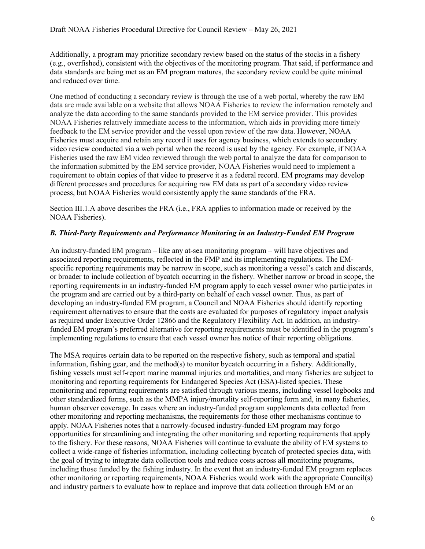Additionally, a program may prioritize secondary review based on the status of the stocks in a fishery (e.g., overfished), consistent with the objectives of the monitoring program. That said, if performance and data standards are being met as an EM program matures, the secondary review could be quite minimal and reduced over time.

One method of conducting a secondary review is through the use of a web portal, whereby the raw EM data are made available on a website that allows NOAA Fisheries to review the information remotely and analyze the data according to the same standards provided to the EM service provider. This provides NOAA Fisheries relatively immediate access to the information, which aids in providing more timely feedback to the EM service provider and the vessel upon review of the raw data. However, NOAA Fisheries must acquire and retain any record it uses for agency business, which extends to secondary video review conducted via a web portal when the record is used by the agency. For example, if NOAA Fisheries used the raw EM video reviewed through the web portal to analyze the data for comparison to the information submitted by the EM service provider, NOAA Fisheries would need to implement a requirement to obtain copies of that video to preserve it as a federal record. EM programs may develop different processes and procedures for acquiring raw EM data as part of a secondary video review process, but NOAA Fisheries would consistently apply the same standards of the FRA.

Section III.1.A above describes the FRA (i.e., FRA applies to information made or received by the NOAA Fisheries).

## *B. Third-Party Requirements and Performance Monitoring in an Industry-Funded EM Program*

An industry-funded EM program – like any at-sea monitoring program – will have objectives and associated reporting requirements, reflected in the FMP and its implementing regulations. The EMspecific reporting requirements may be narrow in scope, such as monitoring a vessel's catch and discards, or broader to include collection of bycatch occurring in the fishery. Whether narrow or broad in scope, the reporting requirements in an industry-funded EM program apply to each vessel owner who participates in the program and are carried out by a third-party on behalf of each vessel owner. Thus, as part of developing an industry-funded EM program, a Council and NOAA Fisheries should identify reporting requirement alternatives to ensure that the costs are evaluated for purposes of regulatory impact analysis as required under Executive Order 12866 and the Regulatory Flexibility Act. In addition, an industryfunded EM program's preferred alternative for reporting requirements must be identified in the program's implementing regulations to ensure that each vessel owner has notice of their reporting obligations.

The MSA requires certain data to be reported on the respective fishery, such as temporal and spatial information, fishing gear, and the method(s) to monitor by catch occurring in a fishery. Additionally, fishing vessels must self-report marine mammal injuries and mortalities, and many fisheries are subject to monitoring and reporting requirements for Endangered Species Act (ESA)-listed species. These monitoring and reporting requirements are satisfied through various means, including vessel logbooks and other standardized forms, such as the MMPA injury/mortality self-reporting form and, in many fisheries, human observer coverage. In cases where an industry-funded program supplements data collected from other monitoring and reporting mechanisms, the requirements for those other mechanisms continue to apply. NOAA Fisheries notes that a narrowly-focused industry-funded EM program may forgo opportunities for streamlining and integrating the other monitoring and reporting requirements that apply to the fishery. For these reasons, NOAA Fisheries will continue to evaluate the ability of EM systems to collect a wide-range of fisheries information, including collecting bycatch of protected species data, with the goal of trying to integrate data collection tools and reduce costs across all monitoring programs, including those funded by the fishing industry. In the event that an industry-funded EM program replaces other monitoring or reporting requirements, NOAA Fisheries would work with the appropriate Council(s) and industry partners to evaluate how to replace and improve that data collection through EM or an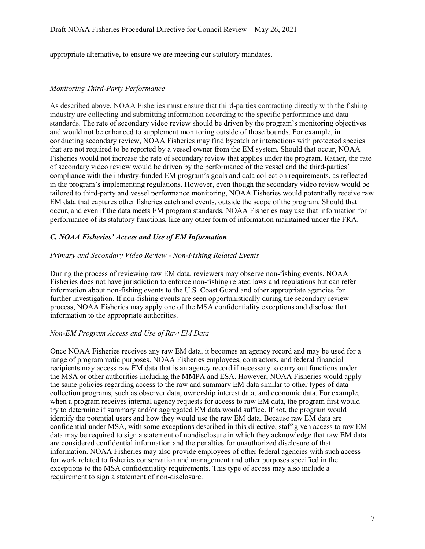appropriate alternative, to ensure we are meeting our statutory mandates.

#### *Monitoring Third-Party Performance*

As described above, NOAA Fisheries must ensure that third-parties contracting directly with the fishing industry are collecting and submitting information according to the specific performance and data standards. The rate of secondary video review should be driven by the program's monitoring objectives and would not be enhanced to supplement monitoring outside of those bounds. For example, in conducting secondary review, NOAA Fisheries may find bycatch or interactions with protected species that are not required to be reported by a vessel owner from the EM system. Should that occur, NOAA Fisheries would not increase the rate of secondary review that applies under the program. Rather, the rate of secondary video review would be driven by the performance of the vessel and the third-parties' compliance with the industry-funded EM program's goals and data collection requirements, as reflected in the program's implementing regulations. However, even though the secondary video review would be tailored to third-party and vessel performance monitoring, NOAA Fisheries would potentially receive raw EM data that captures other fisheries catch and events, outside the scope of the program. Should that occur, and even if the data meets EM program standards, NOAA Fisheries may use that information for performance of its statutory functions, like any other form of information maintained under the FRA.

#### *C. NOAA Fisheries' Access and Use of EM Information*

#### *Primary and Secondary Video Review - Non-Fishing Related Events*

During the process of reviewing raw EM data, reviewers may observe non-fishing events. NOAA Fisheries does not have jurisdiction to enforce non-fishing related laws and regulations but can refer information about non-fishing events to the U.S. Coast Guard and other appropriate agencies for further investigation. If non-fishing events are seen opportunistically during the secondary review process, NOAA Fisheries may apply one of the MSA confidentiality exceptions and disclose that information to the appropriate authorities.

#### *Non-EM Program Access and Use of Raw EM Data*

Once NOAA Fisheries receives any raw EM data, it becomes an agency record and may be used for a range of programmatic purposes. NOAA Fisheries employees, contractors, and federal financial recipients may access raw EM data that is an agency record if necessary to carry out functions under the MSA or other authorities including the MMPA and ESA. However, NOAA Fisheries would apply the same policies regarding access to the raw and summary EM data similar to other types of data collection programs, such as observer data, ownership interest data, and economic data. For example, when a program receives internal agency requests for access to raw EM data, the program first would try to determine if summary and/or aggregated EM data would suffice. If not, the program would identify the potential users and how they would use the raw EM data. Because raw EM data are confidential under MSA, with some exceptions described in this directive, staff given access to raw EM data may be required to sign a statement of nondisclosure in which they acknowledge that raw EM data are considered confidential information and the penalties for unauthorized disclosure of that information. NOAA Fisheries may also provide employees of other federal agencies with such access for work related to fisheries conservation and management and other purposes specified in the exceptions to the MSA confidentiality requirements. This type of access may also include a requirement to sign a statement of non-disclosure.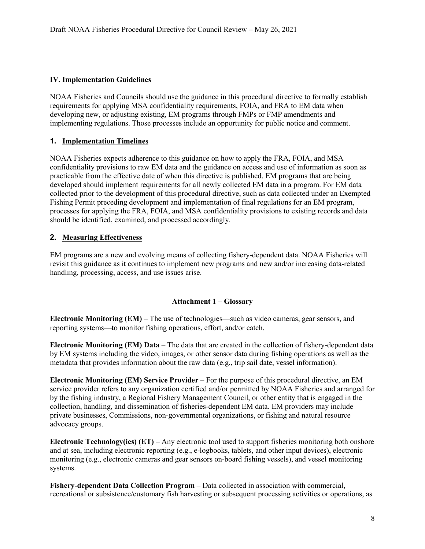#### **IV. Implementation Guidelines**

NOAA Fisheries and Councils should use the guidance in this procedural directive to formally establish requirements for applying MSA confidentiality requirements, FOIA, and FRA to EM data when developing new, or adjusting existing, EM programs through FMPs or FMP amendments and implementing regulations. Those processes include an opportunity for public notice and comment.

#### **1. Implementation Timelines**

NOAA Fisheries expects adherence to this guidance on how to apply the FRA, FOIA, and MSA confidentiality provisions to raw EM data and the guidance on access and use of information as soon as practicable from the effective date of when this directive is published. EM programs that are being developed should implement requirements for all newly collected EM data in a program. For EM data collected prior to the development of this procedural directive, such as data collected under an Exempted Fishing Permit preceding development and implementation of final regulations for an EM program, processes for applying the FRA, FOIA, and MSA confidentiality provisions to existing records and data should be identified, examined, and processed accordingly.

#### **2. Measuring Effectiveness**

EM programs are a new and evolving means of collecting fishery-dependent data. NOAA Fisheries will revisit this guidance as it continues to implement new programs and new and/or increasing data-related handling, processing, access, and use issues arise.

#### **Attachment 1 – Glossary**

**Electronic Monitoring (EM)** – The use of technologies—such as video cameras, gear sensors, and reporting systems—to monitor fishing operations, effort, and/or catch.

**Electronic Monitoring (EM) Data** – The data that are created in the collection of fishery-dependent data by EM systems including the video, images, or other sensor data during fishing operations as well as the metadata that provides information about the raw data (e.g., trip sail date, vessel information).

**Electronic Monitoring (EM) Service Provider** – For the purpose of this procedural directive, an EM service provider refers to any organization certified and/or permitted by NOAA Fisheries and arranged for by the fishing industry, a Regional Fishery Management Council, or other entity that is engaged in the collection, handling, and dissemination of fisheries-dependent EM data. EM providers may include private businesses, Commissions, non-governmental organizations, or fishing and natural resource advocacy groups.

**Electronic Technology(ies) (ET)** – Any electronic tool used to support fisheries monitoring both onshore and at sea, including electronic reporting (e.g., e-logbooks, tablets, and other input devices), electronic monitoring (e.g., electronic cameras and gear sensors on-board fishing vessels), and vessel monitoring systems.

**Fishery-dependent Data Collection Program** – Data collected in association with commercial, recreational or subsistence/customary fish harvesting or subsequent processing activities or operations, as